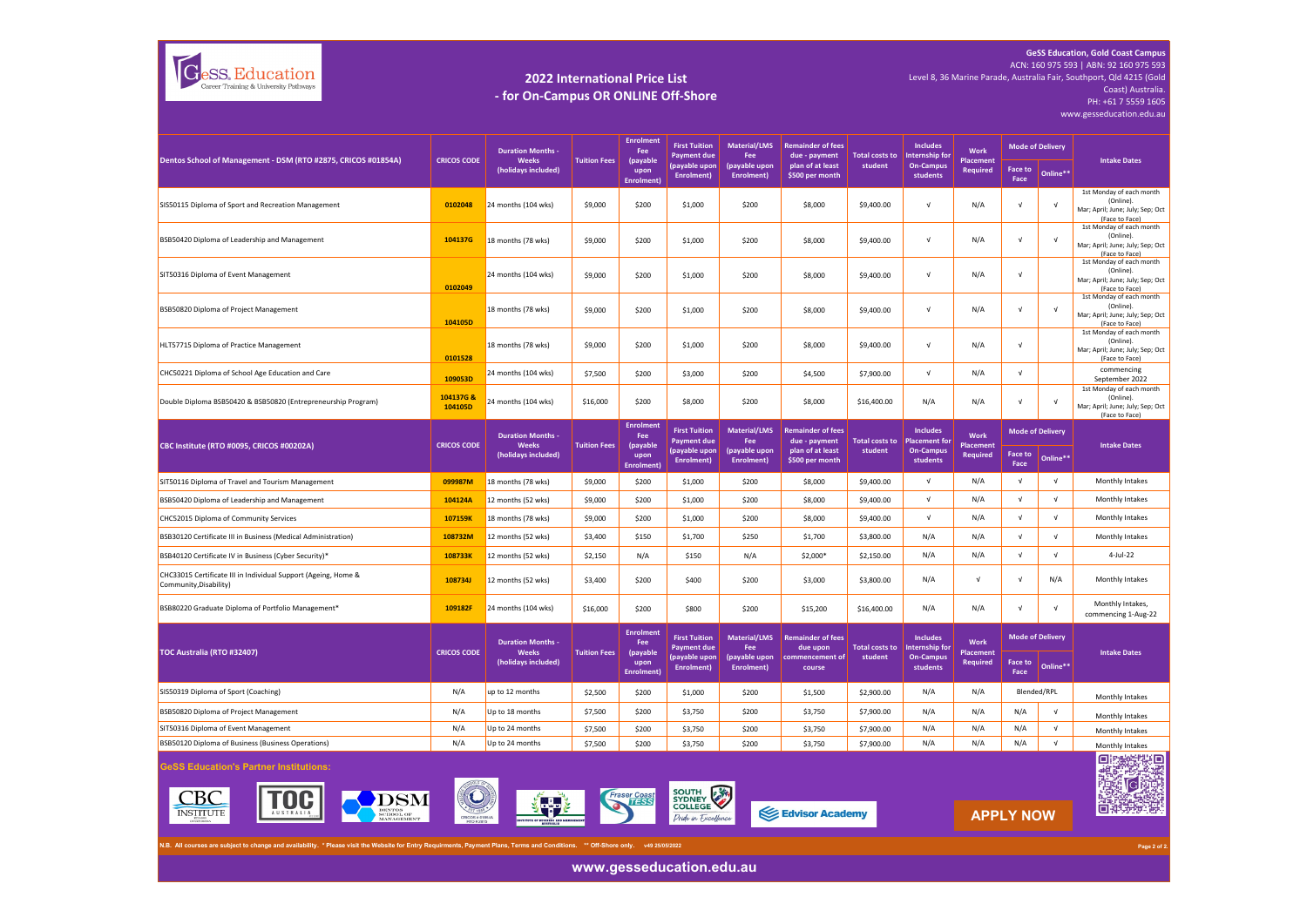

## **2022 International Price List - for On-Campus OR ONLINE Off-Shore**

**GeSS Education, Gold Coast Campus** ACN: 160 975 593 | ABN: 92 160 975 593 Level 8, 36 Marine Parade, Australia Fair, Southport, Qld 4215 (Gold Coast) Australia. PH: +61 7 5559 1605

www.gesseducation.edu.au

| Dentos School of Management - DSM (RTO #2875, CRICOS #01854A)                                                                                                                     | <b>CRICOS CODE</b>      | <b>Duration Months -</b><br>Weeks                               | <b>Tuition Fees</b> | <b>Enrolment</b><br>Fee<br>(payable<br>upon<br>Enrolment) | <b>First Tuition</b><br>Payment due<br>(payable upon<br>Enrolment)        | <b>Material/LMS</b><br>Fee<br>(payable upon<br>Enrolment) | <b>Remainder of fees</b><br>due - payment<br>plan of at least<br>\$500 per month | <b>Total costs to</b><br>student | <b>Includes</b><br>Internship for<br><b>On-Campus</b><br>students | Work<br><b>Placement</b>                   | <b>Mode of Delivery</b> |                                     | <b>Intake Dates</b>                                                                         |
|-----------------------------------------------------------------------------------------------------------------------------------------------------------------------------------|-------------------------|-----------------------------------------------------------------|---------------------|-----------------------------------------------------------|---------------------------------------------------------------------------|-----------------------------------------------------------|----------------------------------------------------------------------------------|----------------------------------|-------------------------------------------------------------------|--------------------------------------------|-------------------------|-------------------------------------|---------------------------------------------------------------------------------------------|
|                                                                                                                                                                                   |                         | (holidays included)                                             |                     |                                                           |                                                                           |                                                           |                                                                                  |                                  |                                                                   | Required                                   | Face to<br>Face         | Online**                            |                                                                                             |
| SIS50115 Diploma of Sport and Recreation Management                                                                                                                               | 0102048                 | 24 months (104 wks)                                             | \$9,000             | \$200                                                     | \$1,000                                                                   | \$200                                                     | \$8,000                                                                          | \$9,400.00                       | $\sqrt{ }$                                                        | N/A                                        | $\sqrt{ }$              | $\sqrt{ }$                          | 1st Monday of each month<br>(Online).<br>Mar; April; June; July; Sep; Oct<br>(Face to Face) |
| BSB50420 Diploma of Leadership and Management                                                                                                                                     | 104137G                 | 18 months (78 wks)                                              | \$9,000             | \$200                                                     | \$1,000                                                                   | \$200                                                     | \$8,000                                                                          | \$9,400.00                       | $\sqrt{ }$                                                        | N/A                                        | $\sqrt{ }$              | $\sqrt{ }$                          | 1st Monday of each month<br>(Online).<br>Mar; April; June; July; Sep; Oct<br>(Face to Face) |
| SIT50316 Diploma of Event Management                                                                                                                                              | 0102049                 | 24 months (104 wks)                                             | \$9,000             | \$200                                                     | \$1,000                                                                   | \$200                                                     | \$8,000                                                                          | \$9,400.00                       | $\sqrt{ }$                                                        | N/A                                        | $\sqrt{ }$              |                                     | 1st Monday of each month<br>(Online).<br>Mar; April; June; July; Sep; Oct<br>(Face to Face) |
| BSB50820 Diploma of Project Management                                                                                                                                            | 104105D                 | 18 months (78 wks)                                              | \$9,000             | \$200                                                     | \$1,000                                                                   | \$200                                                     | \$8,000                                                                          | \$9,400.00                       | $\sqrt{ }$                                                        | N/A                                        | $\sqrt{ }$              | $\sqrt{ }$                          | 1st Monday of each month<br>(Online).<br>Mar; April; June; July; Sep; Oct<br>(Face to Face) |
| HLT57715 Diploma of Practice Management                                                                                                                                           | 0101528                 | 18 months (78 wks)                                              | \$9,000             | \$200                                                     | \$1,000                                                                   | \$200                                                     | \$8,000                                                                          | \$9,400.00                       | $\sqrt{ }$                                                        | N/A                                        | $\sqrt{ }$              |                                     | 1st Monday of each month<br>(Online).<br>Mar; April; June; July; Sep; Oct<br>(Face to Face) |
| CHC50221 Diploma of School Age Education and Care                                                                                                                                 | 109053D                 | 24 months (104 wks)                                             | \$7,500             | \$200                                                     | \$3,000                                                                   | \$200                                                     | \$4,500                                                                          | \$7,900.00                       | $\sqrt{ }$                                                        | N/A                                        | $\sqrt{ }$              |                                     | commencing<br>September 2022                                                                |
| Double Diploma BSB50420 & BSB50820 (Entrepreneurship Program)                                                                                                                     | 104137G &<br>104105D    | 24 months (104 wks)                                             | \$16,000            | \$200                                                     | \$8,000                                                                   | \$200                                                     | \$8,000                                                                          | \$16,400.00                      | N/A                                                               | N/A                                        | $\sqrt{ }$              | V                                   | 1st Monday of each month<br>(Online).<br>Mar; April; June; July; Sep; Oct<br>(Face to Face) |
|                                                                                                                                                                                   |                         | <b>Duration Months -</b>                                        |                     | <b>Enrolment</b><br>Fee                                   | <b>First Tuition</b>                                                      | <b>Material/LMS</b>                                       | <b>Remainder of fees</b>                                                         |                                  | <b>Includes</b>                                                   | Work                                       |                         | <b>Mode of Delivery</b>             |                                                                                             |
| CBC Institute (RTO #0095, CRICOS #00202A)                                                                                                                                         | <b>CRICOS CODE</b>      | Weeks<br>(holidays included)                                    | <b>Tuition Fees</b> | (payable<br>upon<br>Enrolment)                            | <b>Payment due</b><br>(payable upon<br>Enrolment)                         | Fee<br>(payable upon<br>Enrolment)                        | due - payment<br>plan of at least<br>\$500 per month                             | <b>Total costs to</b><br>student | <b>Placement for</b><br><b>On-Campus</b><br>students              | <b>Placemen</b><br><b>Required</b>         | Face to<br>Face         | Online**                            | <b>Intake Dates</b>                                                                         |
| SIT50116 Diploma of Travel and Tourism Management                                                                                                                                 | 099987M                 | 18 months (78 wks)                                              | \$9,000             | \$200                                                     | \$1,000                                                                   | \$200                                                     | \$8,000                                                                          | \$9,400.00                       | $\sqrt{ }$                                                        | N/A                                        | $\sqrt{ }$              | $\sqrt{ }$                          | Monthly Intakes                                                                             |
| BSB50420 Diploma of Leadership and Management                                                                                                                                     | 104124A                 | 12 months (52 wks)                                              | \$9,000             | \$200                                                     | \$1,000                                                                   | \$200                                                     | \$8,000                                                                          | \$9,400.00                       | $\sqrt{ }$                                                        | N/A                                        | $\sqrt{ }$              | $\sqrt{ }$                          | Monthly Intakes                                                                             |
| CHC52015 Diploma of Community Services                                                                                                                                            | 107159K                 | 18 months (78 wks)                                              | \$9,000             | \$200                                                     | \$1,000                                                                   | \$200                                                     | \$8,000                                                                          | \$9,400.00                       | $\sqrt{ }$                                                        | N/A                                        | $\sqrt{ }$              | $\sqrt{ }$                          | Monthly Intakes                                                                             |
| BSB30120 Certificate III in Business (Medical Administration)                                                                                                                     | 108732M                 | 12 months (52 wks)                                              | \$3,400             | \$150                                                     | \$1,700                                                                   | \$250                                                     | \$1,700                                                                          | \$3,800.00                       | N/A                                                               | N/A                                        | $\sqrt{ }$              | $\sqrt{ }$                          | Monthly Intakes                                                                             |
| BSB40120 Certificate IV in Business (Cyber Security)*                                                                                                                             | 108733K                 | 12 months (52 wks)                                              | \$2,150             | N/A                                                       | \$150                                                                     | N/A                                                       | \$2,000*                                                                         | \$2,150.00                       | N/A                                                               | N/A                                        | $\sqrt{ }$              | $\sqrt{ }$                          | 4-Jul-22                                                                                    |
| CHC33015 Certificate III in Individual Support (Ageing, Home &<br>Community, Disability)                                                                                          | 108734J                 | 12 months (52 wks)                                              | \$3,400             | \$200                                                     | \$400                                                                     | \$200                                                     | \$3,000                                                                          | \$3,800.00                       | N/A                                                               | $\sqrt{ }$                                 | $\sqrt{ }$              | N/A                                 | Monthly Intakes                                                                             |
| BSB80220 Graduate Diploma of Portfolio Management*                                                                                                                                | 109182F                 | 24 months (104 wks)                                             | \$16,000            | \$200                                                     | \$800                                                                     | \$200                                                     | \$15,200                                                                         | \$16,400.00                      | N/A                                                               | N/A                                        | $\sqrt{ }$              | $\sqrt{ }$                          | Monthly Intakes,<br>commencing 1-Aug-22                                                     |
| TOC Australia (RTO #32407)                                                                                                                                                        | <b>CRICOS CODE</b>      | <b>Duration Months -</b><br><b>Weeks</b><br>(holidays included) | <b>Tuition Fees</b> | <b>Enrolment</b><br>Fee<br>(payable<br>upon<br>Enrolment) | <b>First Tuition</b><br><b>Payment due</b><br>(payable upon<br>Enrolment) | Material/LMS<br>Fee<br>(payable upon<br>Enrolment)        | <b>Remainder of fees</b><br>due upon<br>commencement of<br>course                | <b>Total costs to</b><br>student | <b>Includes</b><br>Internship for<br><b>On-Campus</b><br>students | Work<br><b>Placemen</b><br><b>Required</b> | Face to<br>Face         | <b>Mode of Delivery</b><br>Online** | <b>Intake Dates</b>                                                                         |
| SIS50319 Diploma of Sport (Coaching)                                                                                                                                              | N/A                     | up to 12 months                                                 | \$2,500             | \$200                                                     | \$1,000                                                                   | \$200                                                     | \$1,500                                                                          | \$2,900.00                       | N/A                                                               | N/A                                        |                         | Blended/RPL                         | Monthly Intakes                                                                             |
| BSB50820 Diploma of Project Management                                                                                                                                            | N/A                     | Up to 18 months                                                 | \$7,500             | \$200                                                     | \$3,750                                                                   | \$200                                                     | \$3,750                                                                          | \$7,900.00                       | N/A                                                               | N/A                                        | N/A                     | $\sqrt{ }$                          | Monthly Intakes                                                                             |
| SIT50316 Diploma of Event Management                                                                                                                                              | N/A                     | Up to 24 months                                                 | \$7,500             | \$200                                                     | \$3,750                                                                   | \$200                                                     | \$3,750                                                                          | \$7,900.00                       | N/A                                                               | N/A                                        | N/A                     | $\sqrt{ }$                          | Monthly Intakes                                                                             |
| BSB50120 Diploma of Business (Business Operations)                                                                                                                                | N/A                     | Up to 24 months                                                 | \$7,500             | \$200                                                     | \$3,750                                                                   | \$200                                                     | \$3,750                                                                          | \$7,900.00                       | N/A                                                               | N/A                                        | N/A                     | $\mathsf{V}$                        | Monthly Intakes                                                                             |
| <b>GeSS Education's Partner Institutions:</b><br><b>DSM</b>                                                                                                                       | $\left(\bigodot\right)$ |                                                                 |                     | Fraser Coast                                              | <b>SOUTH</b><br>SOUTH BAN                                                 |                                                           |                                                                                  |                                  |                                                                   |                                            |                         |                                     | 薇<br>Oi<br>兼譯<br>ers.                                                                       |
| N.B. All courses are subject to change and availability. * Please visit the Website for Entry Requirments, Payment Plans, Terms and Conditions. ** Off-Shore only. v49 25/05/2022 |                         |                                                                 |                     |                                                           | <b>COLLEGE</b><br>Dride in Fxcellence                                     |                                                           | Edvisor Academy                                                                  |                                  |                                                                   |                                            | <b>APPLY NOW</b>        |                                     | 回型动物                                                                                        |

**www.gesseducation.edu.au**